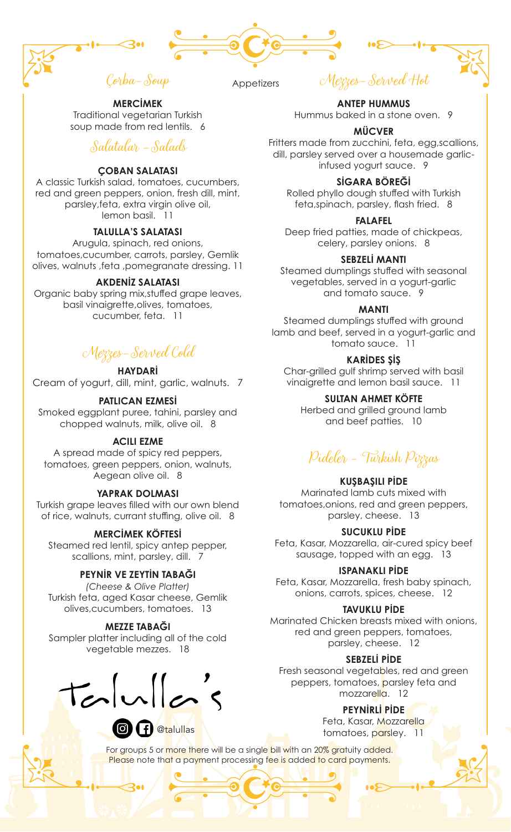



**Appetizers** 

Mezzes-Served Hot

Traditional vegetarian Turkish soup made from red lentils. 6

# Salatalar -Salads

**MERCİMEK** 

# **ÇOBAN SALATASI**

A classic Turkish salad, tomatoes, cucumbers, red and green peppers, onion, fresh dill, mint, parsley,feta, extra virgin olive oil, lemon basil. 11

# **TALULLA'S SALATASI**

Arugula, spinach, red onions, tomatoes,cucumber, carrots, parsley, Gemlik olives, walnuts ,feta ,pomegranate dressing. 11

# **AKDENİZ SALATASI**

Organic baby spring mix,stuffed grape leaves, basil vinaigrette,olives, tomatoes, cucumber, feta. 11

# Mezzes-Served Cold

# **HAYDARİ**

Cream of yogurt, dill, mint, garlic, walnuts. 7

# **PATLICAN EZMESİ**

Smoked eggplant puree, tahini, parsley and chopped walnuts, milk, olive oil. 8

#### **ACILI EZME**

A spread made of spicy red peppers, tomatoes, green peppers, onion, walnuts, Aegean olive oil. 8

# **YAPRAK DOLMASI**

Turkish grape leaves filled with our own blend of rice, walnuts, currant stuffing, olive oil. 8

# **MERCİMEK KÖFTESİ**

Steamed red lentil, spicy antep pepper, scallions, mint, parsley, dill. 7

# **PEYNİR VE ZEYTİN TABAĞI**

*(Cheese & Olive Platter)* Turkish feta, aged Kasar cheese, Gemlik olives,cucumbers, tomatoes. 13

# **MEZZE TABAĞI**

Sampler platter including all of the cold vegetable mezzes. 18

 $tanh's$ 

**a**talullas

**ANTEP HUMMUS** Hummus baked in a stone oven. 9

#### **MÜCVER**

Fritters made from zucchini, feta, egg,scallions, dill, parsley served over a housemade garlicinfused yogurt sauce. 9

### **SİGARA BÖREĞİ**

Rolled phyllo dough stuffed with Turkish feta,spinach, parsley, flash fried. 8

#### **FALAFEL**

Deep fried patties, made of chickpeas, celery, parsley onions. 8

#### **SEBZELİ MANTI**

Steamed dumplings stuffed with seasonal vegetables, served in a yogurt-garlic and tomato sauce. 9

#### **MANTI**

Steamed dumplings stuffed with ground lamb and beef, served in a yogurt-garlic and tomato sauce. 11

# **KARİDES ŞİŞ**

Char-grilled gulf shrimp served with basil vinaigrette and lemon basil sauce. 11

# **SULTAN AHMET KÖFTE**

Herbed and grilled ground lamb and beef patties. 10

# Pideler - Turkish Pizzas

#### **KUŞBAŞILI PİDE**

Marinated lamb cuts mixed with tomatoes,onions, red and green peppers, parsley, cheese. 13

#### **SUCUKLU PİDE**

Feta, Kasar, Mozzarella, air-cured spicy beef sausage, topped with an egg. 13

#### **ISPANAKLI PİDE**

Feta, Kasar, Mozzarella, fresh baby spinach, onions, carrots, spices, cheese. 12

#### **TAVUKLU PİDE**

Marinated Chicken breasts mixed with onions, red and green peppers, tomatoes, parsley, cheese. 12

#### **SEBZELİ PİDE**

Fresh seasonal vegetables, red and green peppers, tomatoes, parsley feta and mozzarella. 12

# **PEYNİRLİ PİDE**

Feta, Kasar, Mozzarella tomatoes, parsley. 11

For groups 5 or more there will be a single bill with an 20% gratuity added. Please note that a payment processing fee is added to card payments.